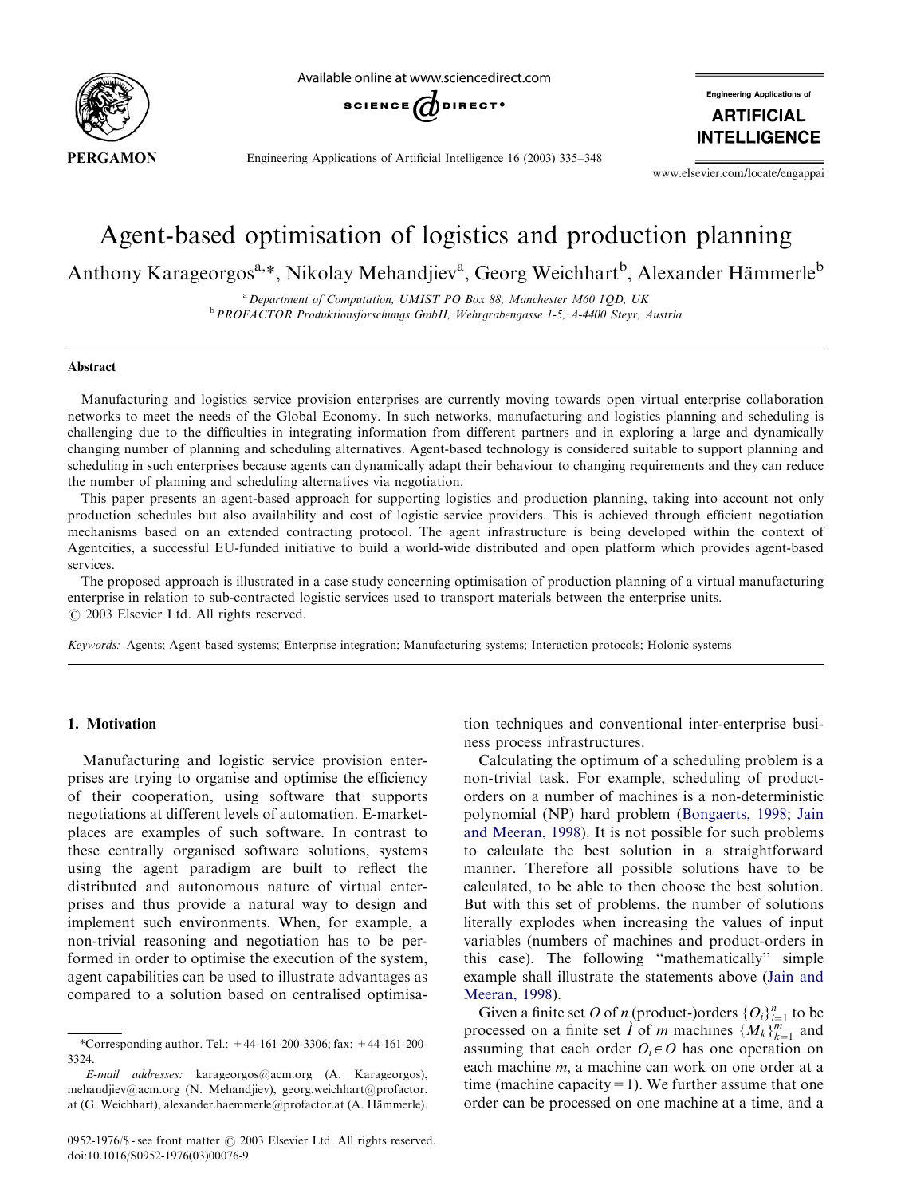

Available online at www.sciencedirect.com



Engineering Applications of Artificial Intelligence 16 (2003) 335–348

**Engineering Applications of ARTIFICIAL INTELLIGENCE** 

www.elsevier.com/locate/engappai

# Agent-based optimisation of logistics and production planning

Anthony Karageorgos<sup>a,</sup>\*, Nikolay Mehandjiev<sup>a</sup>, Georg Weichhart<sup>b</sup>, Alexander Hämmerle<sup>b</sup>

 $a^{a}$  Department of Computation, UMIST PO Box 88, Manchester M60 1QD, UK <sup>b</sup> PROFACTOR Produktionsforschungs GmbH, Wehrgrabengasse 1-5, A-4400 Steyr, Austria

#### Abstract

Manufacturing and logistics service provision enterprises are currently moving towards open virtual enterprise collaboration networks to meet the needs of the Global Economy. In such networks, manufacturing and logistics planning and scheduling is challenging due to the difficulties in integrating information from different partners and in exploring a large and dynamically changing number of planning and scheduling alternatives. Agent-based technology is considered suitable to support planning and scheduling in such enterprises because agents can dynamically adapt their behaviour to changing requirements and they can reduce the number of planning and scheduling alternatives via negotiation.

This paper presents an agent-based approach for supporting logistics and production planning, taking into account not only production schedules but also availability and cost of logistic service providers. This is achieved through efficient negotiation mechanisms based on an extended contracting protocol. The agent infrastructure is being developed within the context of Agentcities, a successful EU-funded initiative to build a world-wide distributed and open platformwhich provides agent-based services.

The proposed approach is illustrated in a case study concerning optimisation of production planning of a virtual manufacturing enterprise in relation to sub-contracted logistic services used to transport materials between the enterprise units.  $C$  2003 Elsevier Ltd. All rights reserved.

Keywords: Agents; Agent-based systems; Enterprise integration; Manufacturing systems; Interaction protocols; Holonic systems

#### 1. Motivation

Manufacturing and logistic service provision enterprises are trying to organise and optimise the efficiency of their cooperation, using software that supports negotiations at different levels of automation. E-marketplaces are examples of such software. In contrast to these centrally organised software solutions, systems using the agent paradigm are built to reflect the distributed and autonomous nature of virtual enterprises and thus provide a natural way to design and implement such environments. When, for example, a non-trivial reasoning and negotiation has to be performed in order to optimise the execution of the system, agent capabilities can be used to illustrate advantages as compared to a solution based on centralised optimisation techniques and conventional inter-enterprise business process infrastructures.

Calculating the optimum of a scheduling problem is a non-trivial task. For example, scheduling of productorders on a number of machines is a non-deterministic polynomial (NP) hard problem ([Bongaerts, 1998](#page-12-0); [Jain](#page-12-0) [and Meeran, 1998\)](#page-12-0). It is not possible for such problems to calculate the best solution in a straightforward manner. Therefore all possible solutions have to be calculated, to be able to then choose the best solution. But with this set of problems, the number of solutions literally explodes when increasing the values of input variables (numbers of machines and product-orders in this case). The following ''mathematically'' simple example shall illustrate the statements above ([Jain and](#page-12-0) [Meeran, 1998\)](#page-12-0).

Given a finite set O of n (product-)orders  $\{O_i\}_{i=1}^n$  to be processed on a finite set  $\widehat{I}$  of m machines  $\{M_k\}_{k=1}^m$  and assuming that each order  $O_i \in O$  has one operation on each machine *m*, a machine can work on one order at a time (machine capacity = 1). We further assume that one order can be processed on one machine at a time, and a

<sup>\*</sup>Corresponding author. Tel.: +44-161-200-3306; fax: +44-161-200- 3324.

E-mail addresses: karageorgos@acm.org (A. Karageorgos), mehandjiev@acm.org (N. Mehandjiev), georg.weichhart@profactor. at (G. Weichhart), alexander.haemmerle@profactor.at (A. Hammerle). .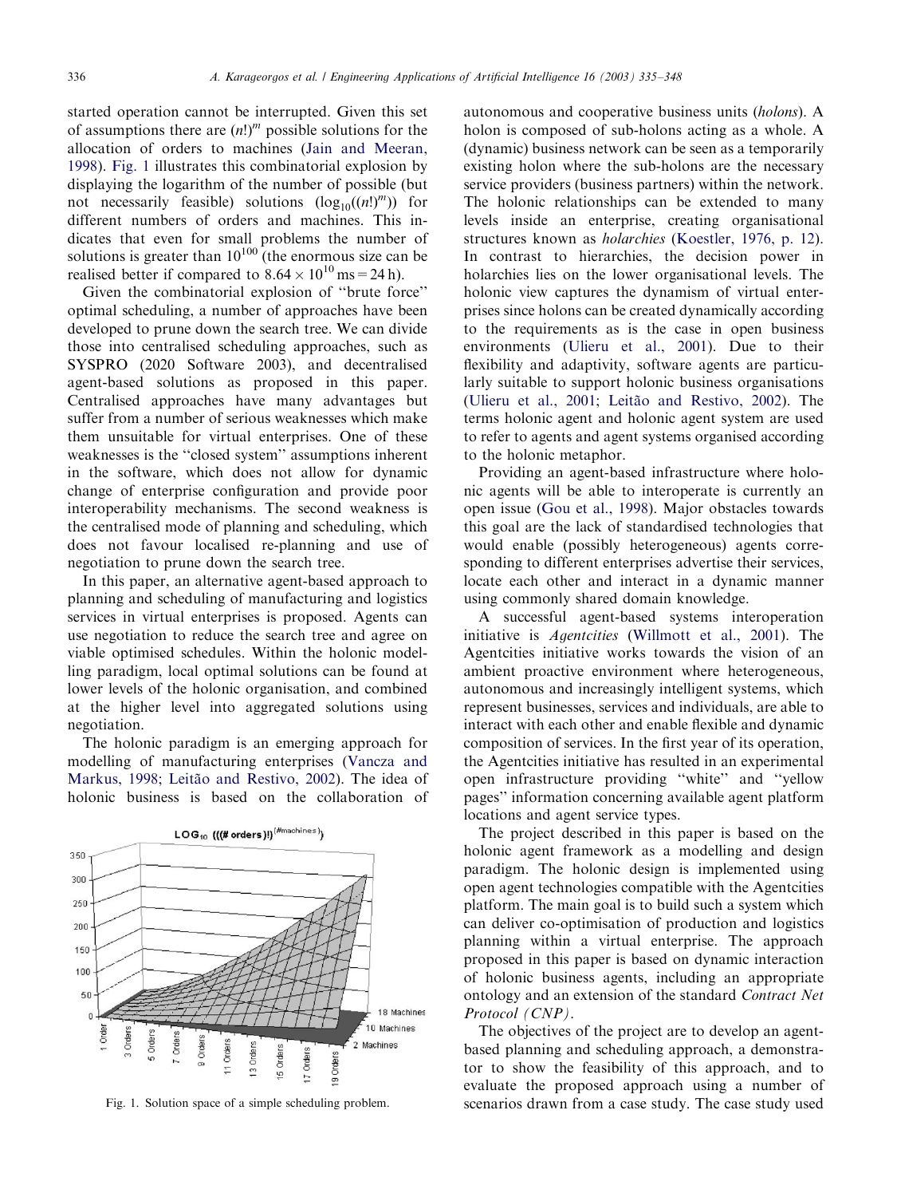<span id="page-1-0"></span>started operation cannot be interrupted. Given this set of assumptions there are  $(n!)^m$  possible solutions for the allocation of orders to machines [\(Jain and Meeran,](#page-12-0) [1998\)](#page-12-0). Fig. 1 illustrates this combinatorial explosion by displaying the logarithm of the number of possible (but not necessarily feasible) solutions  $(\log_{10}((n!)^m))$  for different numbers of orders and machines. This indicates that even for small problems the number of solutions is greater than  $10^{100}$  (the enormous size can be realised better if compared to  $8.64 \times 10^{10}$  ms = 24 h).

Given the combinatorial explosion of ''brute force'' optimal scheduling, a number of approaches have been developed to prune down the search tree. We can divide those into centralised scheduling approaches, such as SYSPRO (2020 Software 2003), and decentralised agent-based solutions as proposed in this paper. Centralised approaches have many advantages but suffer from a number of serious weaknesses which make them unsuitable for virtual enterprises. One of these weaknesses is the ''closed system'' assumptions inherent in the software, which does not allow for dynamic change of enterprise configuration and provide poor interoperability mechanisms. The second weakness is the centralised mode of planning and scheduling, which does not favour localised re-planning and use of negotiation to prune down the search tree.

In this paper, an alternative agent-based approach to planning and scheduling of manufacturing and logistics services in virtual enterprises is proposed. Agents can use negotiation to reduce the search tree and agree on viable optimised schedules. Within the holonic modelling paradigm, local optimal solutions can be found at lower levels of the holonic organisation, and combined at the higher level into aggregated solutions using negotiation.

The holonic paradigm is an emerging approach for modelling of manufacturing enterprises ([Vancza and](#page-13-0) [Markus, 1998](#page-13-0); Leitão and Restivo, 2002). The idea of holonic business is based on the collaboration of



Fig. 1. Solution space of a simple scheduling problem.

autonomous and cooperative business units (holons). A holon is composed of sub-holons acting as a whole. A (dynamic) business network can be seen as a temporarily existing holon where the sub-holons are the necessary service providers (business partners) within the network. The holonic relationships can be extended to many levels inside an enterprise, creating organisational structures known as *holarchies* [\(Koestler, 1976, p. 12\)](#page-12-0). In contrast to hierarchies, the decision power in holarchies lies on the lower organisational levels. The holonic view captures the dynamism of virtual enterprises since holons can be created dynamically according to the requirements as is the case in open business environments [\(Ulieru et al., 2001\)](#page-13-0). Due to their flexibility and adaptivity, software agents are particularly suitable to support holonic business organisations [\(Ulieru et al., 2001;](#page-13-0) Leitão and Restivo, 2002). The terms holonic agent and holonic agent system are used to refer to agents and agent systems organised according to the holonic metaphor.

Providing an agent-based infrastructure where holonic agents will be able to interoperate is currently an open issue ([Gou et al., 1998](#page-12-0)). Major obstacles towards this goal are the lack of standardised technologies that would enable (possibly heterogeneous) agents corresponding to different enterprises advertise their services, locate each other and interact in a dynamic manner using commonly shared domain knowledge.

A successful agent-based systems interoperation initiative is *Agentcities* [\(Willmott et al., 2001](#page-13-0)). The Agentcities initiative works towards the vision of an ambient proactive environment where heterogeneous, autonomous and increasingly intelligent systems, which represent businesses, services and individuals, are able to interact with each other and enable flexible and dynamic composition of services. In the first year of its operation, the Agentcities initiative has resulted in an experimental open infrastructure providing ''white'' and ''yellow pages'' information concerning available agent platform locations and agent service types.

The project described in this paper is based on the holonic agent framework as a modelling and design paradigm. The holonic design is implemented using open agent technologies compatible with the Agentcities platform. The main goal is to build such a system which can deliver co-optimisation of production and logistics planning within a virtual enterprise. The approach proposed in this paper is based on dynamic interaction of holonic business agents, including an appropriate ontology and an extension of the standard Contract Net Protocol (CNP).

The objectives of the project are to develop an agentbased planning and scheduling approach, a demonstrator to show the feasibility of this approach, and to evaluate the proposed approach using a number of scenarios drawn from a case study. The case study used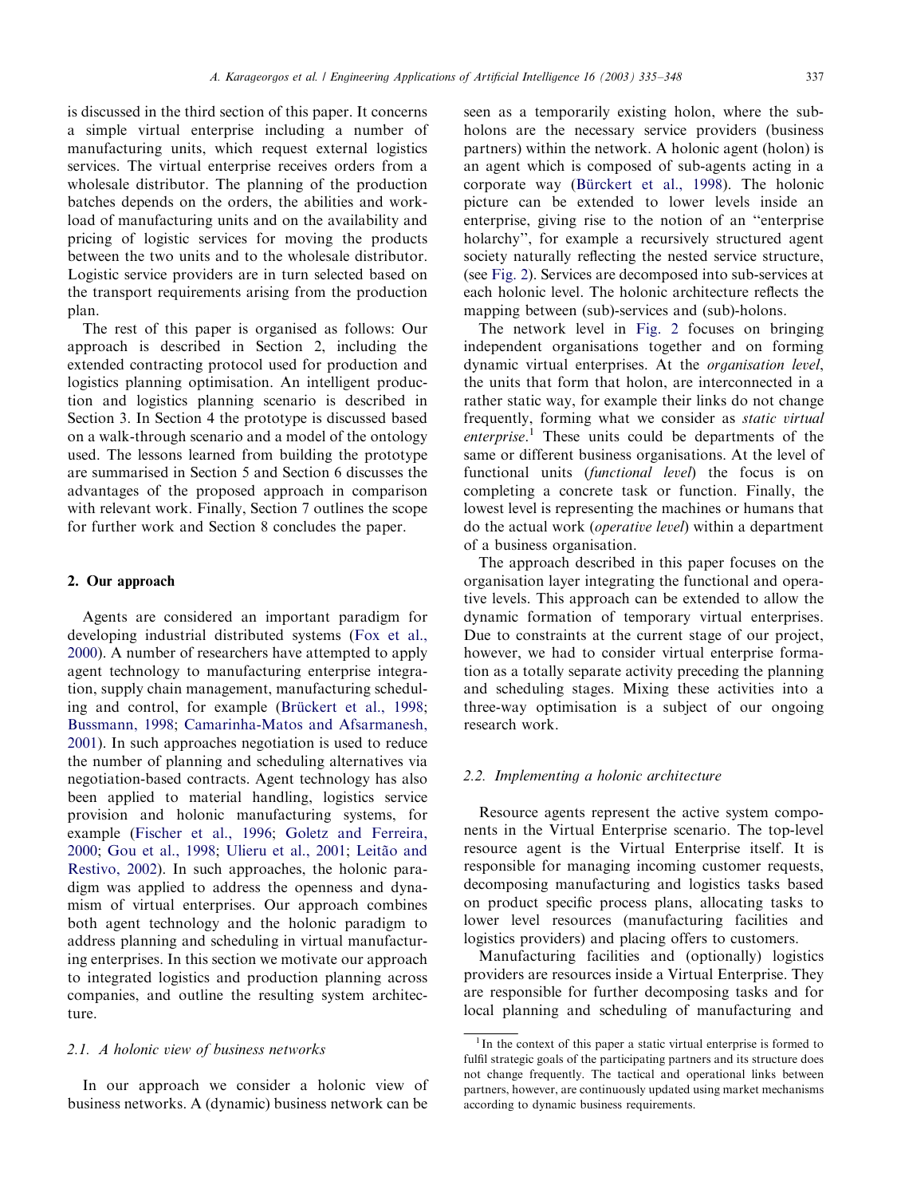is discussed in the third section of this paper. It concerns a simple virtual enterprise including a number of manufacturing units, which request external logistics services. The virtual enterprise receives orders from a wholesale distributor. The planning of the production batches depends on the orders, the abilities and workload of manufacturing units and on the availability and pricing of logistic services for moving the products between the two units and to the wholesale distributor. Logistic service providers are in turn selected based on the transport requirements arising from the production plan.

The rest of this paper is organised as follows: Our approach is described in Section 2, including the extended contracting protocol used for production and logistics planning optimisation. An intelligent production and logistics planning scenario is described in Section 3. In Section 4 the prototype is discussed based on a walk-through scenario and a model of the ontology used. The lessons learned from building the prototype are summarised in Section 5 and Section 6 discusses the advantages of the proposed approach in comparison with relevant work. Finally, Section 7 outlines the scope for further work and Section 8 concludes the paper.

### 2. Our approach

Agents are considered an important paradigm for developing industrial distributed systems [\(Fox et al.,](#page-12-0) [2000\)](#page-12-0). A number of researchers have attempted to apply agent technology to manufacturing enterprise integration, supply chain management, manufacturing scheduling and control, for example (Brückert et al., 1998; [Bussmann, 1998;](#page-12-0) [Camarinha-Matos and Afsarmanesh,](#page-12-0) [2001\)](#page-12-0). In such approaches negotiation is used to reduce the number of planning and scheduling alternatives via negotiation-based contracts. Agent technology has also been applied to material handling, logistics service provision and holonic manufacturing systems, for example ([Fischer et al., 1996;](#page-12-0) [Goletz and Ferreira,](#page-12-0) [2000;](#page-12-0) [Gou et al., 1998](#page-12-0); [Ulieru et al., 2001;](#page-13-0) [Leitao and](#page-12-0) \* [Restivo, 2002](#page-12-0)). In such approaches, the holonic paradigmwas applied to address the openness and dynamism of virtual enterprises. Our approach combines both agent technology and the holonic paradigm to address planning and scheduling in virtual manufacturing enterprises. In this section we motivate our approach to integrated logistics and production planning across companies, and outline the resulting system architecture.

# 2.1. A holonic view of business networks

In our approach we consider a holonic view of business networks. A (dynamic) business network can be

seen as a temporarily existing holon, where the subholons are the necessary service providers (business partners) within the network. A holonic agent (holon) is an agent which is composed of sub-agents acting in a corporate way [\(B](#page-12-0)ü[rckert et al., 1998](#page-12-0)). The holonic picture can be extended to lower levels inside an enterprise, giving rise to the notion of an ''enterprise holarchy'', for example a recursively structured agent society naturally reflecting the nested service structure, (see [Fig. 2\)](#page-3-0). Services are decomposed into sub-services at each holonic level. The holonic architecture reflects the mapping between (sub)-services and (sub)-holons.

The network level in [Fig. 2](#page-3-0) focuses on bringing independent organisations together and on forming dynamic virtual enterprises. At the organisation level, the units that form that holon, are interconnected in a rather static way, for example their links do not change frequently, forming what we consider as *static virtual* enterprise.<sup>1</sup> These units could be departments of the same or different business organisations. At the level of functional units *(functional level)* the focus is on completing a concrete task or function. Finally, the lowest level is representing the machines or humans that do the actual work (operative level) within a department of a business organisation.

The approach described in this paper focuses on the organisation layer integrating the functional and operative levels. This approach can be extended to allow the dynamic formation of temporary virtual enterprises. Due to constraints at the current stage of our project, however, we had to consider virtual enterprise formation as a totally separate activity preceding the planning and scheduling stages. Mixing these activities into a three-way optimisation is a subject of our ongoing research work.

## 2.2. Implementing a holonic architecture

Resource agents represent the active system components in the Virtual Enterprise scenario. The top-level resource agent is the Virtual Enterprise itself. It is responsible for managing incoming customer requests, decomposing manufacturing and logistics tasks based on product specific process plans, allocating tasks to lower level resources (manufacturing facilities and logistics providers) and placing offers to customers.

Manufacturing facilities and (optionally) logistics providers are resources inside a Virtual Enterprise. They are responsible for further decomposing tasks and for local planning and scheduling of manufacturing and

 $<sup>1</sup>$  In the context of this paper a static virtual enterprise is formed to</sup> fulfil strategic goals of the participating partners and its structure does not change frequently. The tactical and operational links between partners, however, are continuously updated using market mechanisms according to dynamic business requirements.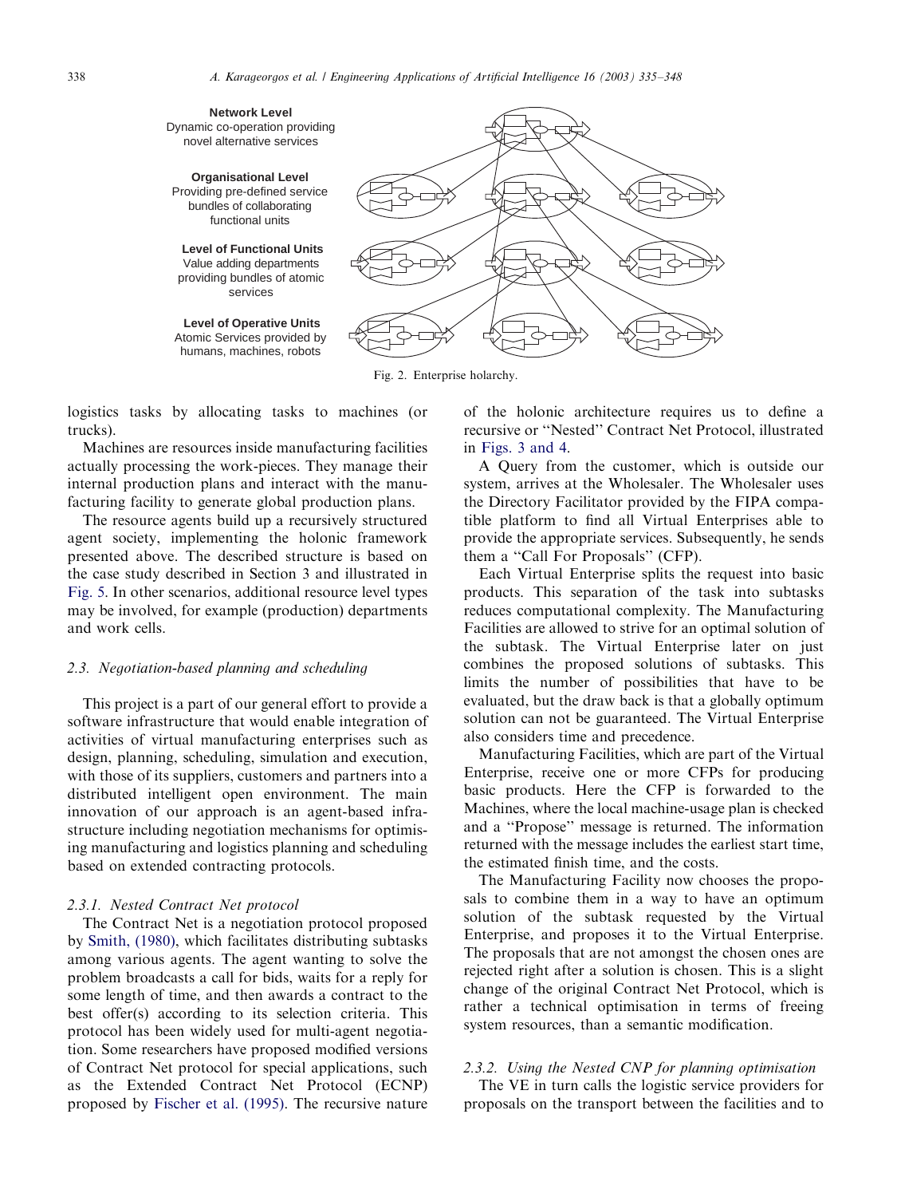<span id="page-3-0"></span>

Fig. 2. Enterprise holarchy.

logistics tasks by allocating tasks to machines (or trucks).

Machines are resources inside manufacturing facilities actually processing the work-pieces. They manage their internal production plans and interact with the manufacturing facility to generate global production plans.

The resource agents build up a recursively structured agent society, implementing the holonic framework presented above. The described structure is based on the case study described in Section 3 and illustrated in [Fig. 5](#page-5-0). In other scenarios, additional resource level types may be involved, for example (production) departments and work cells.

#### 2.3. Negotiation-based planning and scheduling

This project is a part of our general effort to provide a software infrastructure that would enable integration of activities of virtual manufacturing enterprises such as design, planning, scheduling, simulation and execution, with those of its suppliers, customers and partners into a distributed intelligent open environment. The main innovation of our approach is an agent-based infrastructure including negotiation mechanisms for optimising manufacturing and logistics planning and scheduling based on extended contracting protocols.

#### 2.3.1. Nested Contract Net protocol

The Contract Net is a negotiation protocol proposed by [Smith, \(1980\)](#page-13-0), which facilitates distributing subtasks among various agents. The agent wanting to solve the problem broadcasts a call for bids, waits for a reply for some length of time, and then awards a contract to the best offer(s) according to its selection criteria. This protocol has been widely used for multi-agent negotiation. Some researchers have proposed modified versions of Contract Net protocol for special applications, such as the Extended Contract Net Protocol (ECNP) proposed by [Fischer et al. \(1995\).](#page-12-0) The recursive nature of the holonic architecture requires us to define a recursive or ''Nested'' Contract Net Protocol, illustrated in [Figs. 3 and 4](#page-4-0).

A Query from the customer, which is outside our system, arrives at the Wholesaler. The Wholesaler uses the Directory Facilitator provided by the FIPA compatible platform to find all Virtual Enterprises able to provide the appropriate services. Subsequently, he sends thema ''Call For Proposals'' (CFP).

Each Virtual Enterprise splits the request into basic products. This separation of the task into subtasks reduces computational complexity. The Manufacturing Facilities are allowed to strive for an optimal solution of the subtask. The Virtual Enterprise later on just combines the proposed solutions of subtasks. This limits the number of possibilities that have to be evaluated, but the draw back is that a globally optimum solution can not be guaranteed. The Virtual Enterprise also considers time and precedence.

Manufacturing Facilities, which are part of the Virtual Enterprise, receive one or more CFPs for producing basic products. Here the CFP is forwarded to the Machines, where the local machine-usage plan is checked and a ''Propose'' message is returned. The information returned with the message includes the earliest start time, the estimated finish time, and the costs.

The Manufacturing Facility now chooses the proposals to combine them in a way to have an optimum solution of the subtask requested by the Virtual Enterprise, and proposes it to the Virtual Enterprise. The proposals that are not amongst the chosen ones are rejected right after a solution is chosen. This is a slight change of the original Contract Net Protocol, which is rather a technical optimisation in terms of freeing system resources, than a semantic modification.

## 2.3.2. Using the Nested CNP for planning optimisation

The VE in turn calls the logistic service providers for proposals on the transport between the facilities and to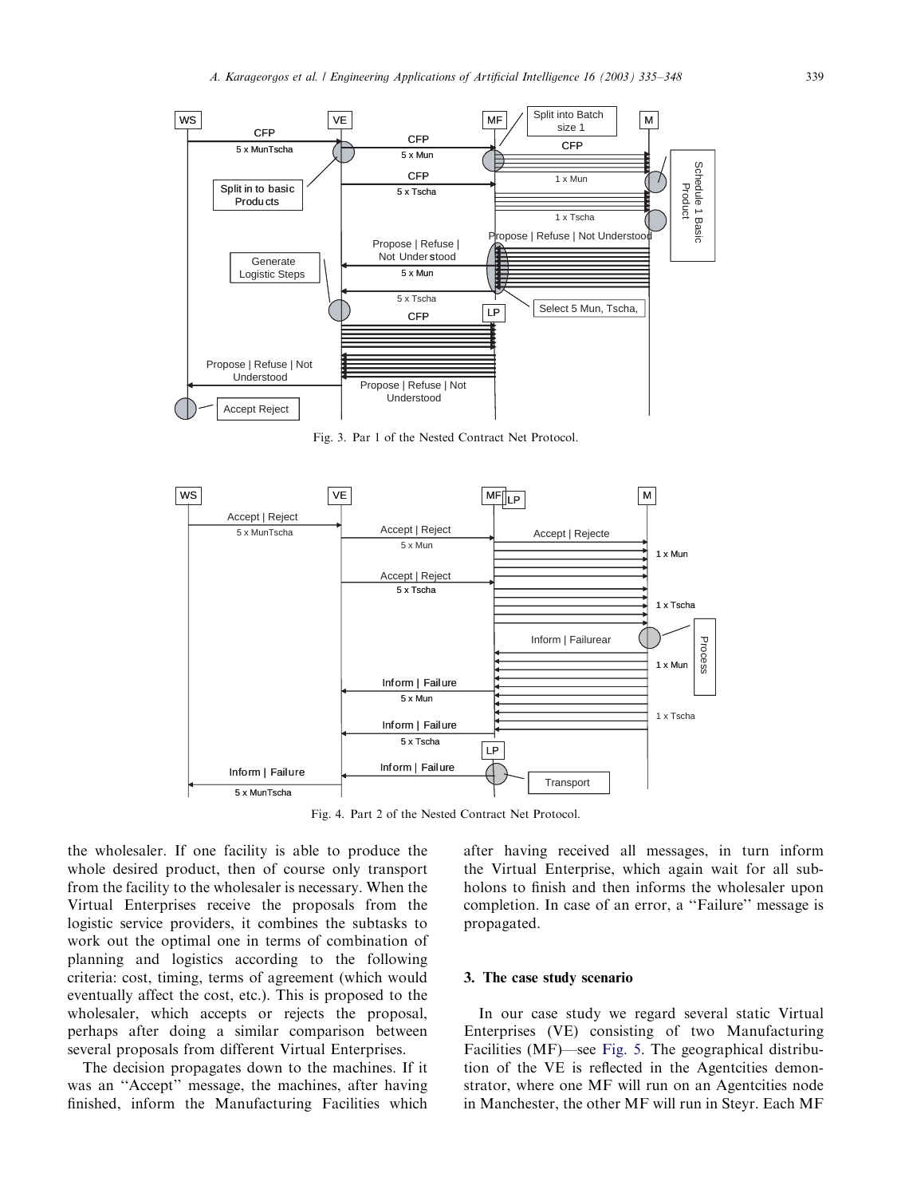<span id="page-4-0"></span>

Fig. 3. Par 1 of the Nested Contract Net Protocol.



Fig. 4. Part 2 of the Nested Contract Net Protocol.

the wholesaler. If one facility is able to produce the whole desired product, then of course only transport from the facility to the wholesaler is necessary. When the Virtual Enterprises receive the proposals from the logistic service providers, it combines the subtasks to work out the optimal one in terms of combination of planning and logistics according to the following criteria: cost, timing, terms of agreement (which would eventually affect the cost, etc.). This is proposed to the wholesaler, which accepts or rejects the proposal, perhaps after doing a similar comparison between several proposals from different Virtual Enterprises.

The decision propagates down to the machines. If it was an ''Accept'' message, the machines, after having finished, inform the Manufacturing Facilities which after having received all messages, in turn inform the Virtual Enterprise, which again wait for all subholons to finish and then informs the wholesaler upon completion. In case of an error, a ''Failure'' message is propagated.

#### 3. The case study scenario

In our case study we regard several static Virtual Enterprises (VE) consisting of two Manufacturing Facilities (MF)—see [Fig. 5](#page-5-0). The geographical distribution of the VE is reflected in the Agentcities demonstrator, where one MF will run on an Agentcities node in Manchester, the other MF will run in Steyr. Each MF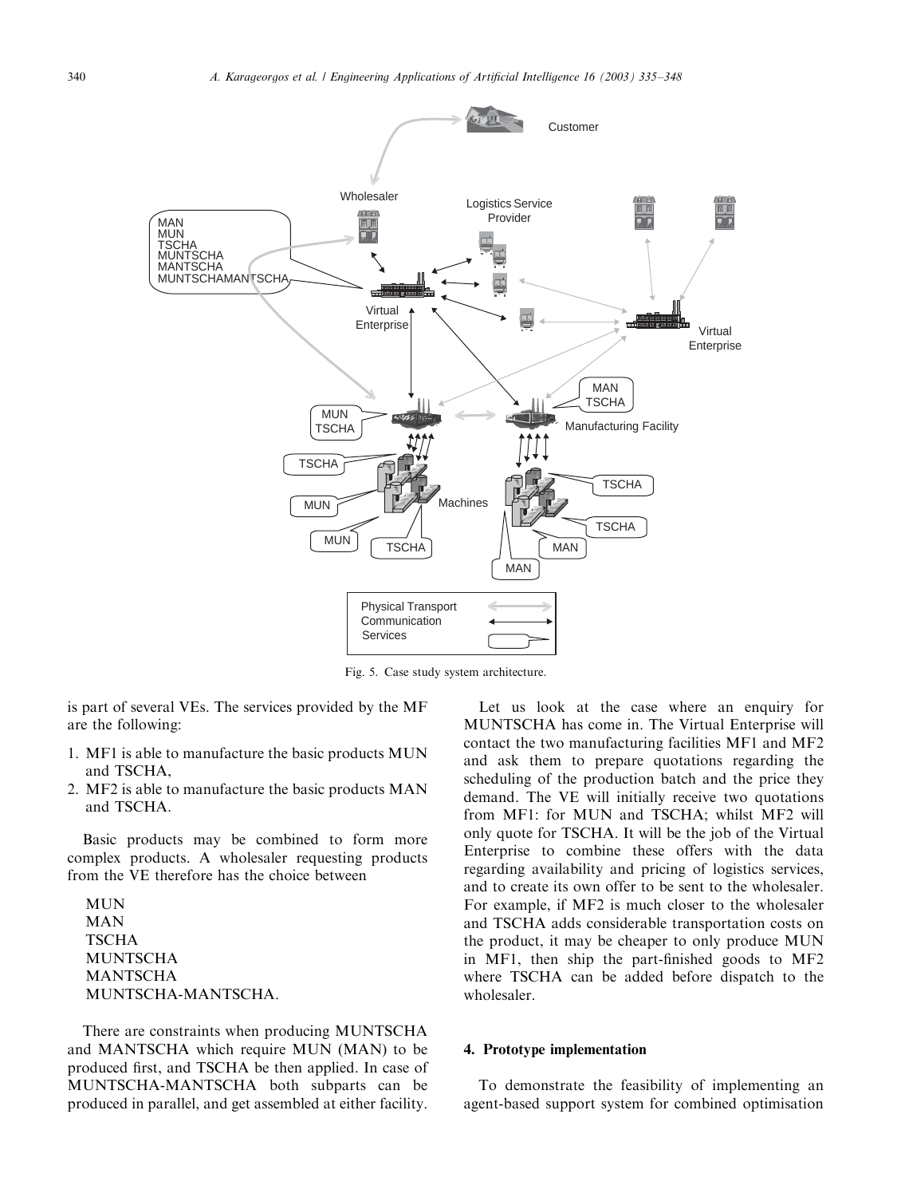<span id="page-5-0"></span>

Fig. 5. Case study system architecture.

is part of several VEs. The services provided by the MF are the following:

- 1. MF1 is able to manufacture the basic products MUN and TSCHA,
- 2. MF2 is able to manufacture the basic products MAN and TSCHA.

Basic products may be combined to form more complex products. A wholesaler requesting products from the VE therefore has the choice between

**MUN** MAN **TSCHA** MUNTSCHA **MANTSCHA** MUNTSCHA-MANTSCHA.

There are constraints when producing MUNTSCHA and MANTSCHA which require MUN (MAN) to be produced first, and TSCHA be then applied. In case of MUNTSCHA-MANTSCHA both subparts can be produced in parallel, and get assembled at either facility.

Let us look at the case where an enquiry for MUNTSCHA has come in. The Virtual Enterprise will contact the two manufacturing facilities MF1 and MF2 and ask them to prepare quotations regarding the scheduling of the production batch and the price they demand. The VE will initially receive two quotations from MF1: for MUN and TSCHA; whilst MF2 will only quote for TSCHA. It will be the job of the Virtual Enterprise to combine these offers with the data regarding availability and pricing of logistics services, and to create its own offer to be sent to the wholesaler. For example, if MF2 is much closer to the wholesaler and TSCHA adds considerable transportation costs on the product, it may be cheaper to only produce MUN in MF1, then ship the part-finished goods to MF2 where TSCHA can be added before dispatch to the wholesaler.

#### 4. Prototype implementation

To demonstrate the feasibility of implementing an agent-based support system for combined optimisation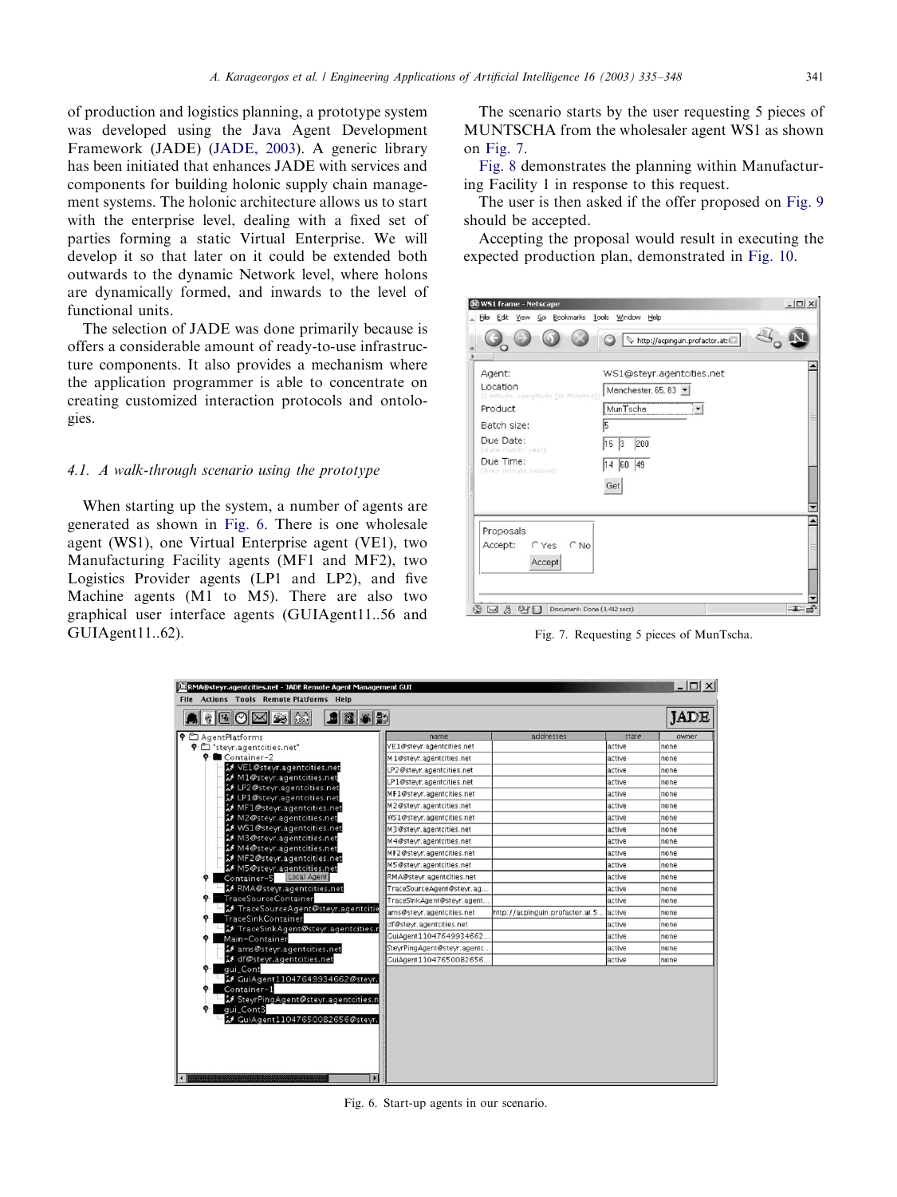of production and logistics planning, a prototype system was developed using the Java Agent Development Framework (JADE) ([JADE, 2003](#page-12-0)). A generic library has been initiated that enhances JADE with services and components for building holonic supply chain management systems. The holonic architecture allows us to start with the enterprise level, dealing with a fixed set of parties forming a static Virtual Enterprise. We will develop it so that later on it could be extended both outwards to the dynamic Network level, where holons are dynamically formed, and inwards to the level of functional units.

The selection of JADE was done primarily because is offers a considerable amount of ready-to-use infrastructure components. It also provides a mechanism where the application programmer is able to concentrate on creating customized interaction protocols and ontologies.

## 4.1. A walk-through scenario using the prototype

When starting up the system, a number of agents are generated as shown in Fig. 6. There is one wholesale agent (WS1), one Virtual Enterprise agent (VE1), two Manufacturing Facility agents (MF1 and MF2), two Logistics Provider agents (LP1 and LP2), and five Machine agents (M1 to M5). There are also two graphical user interface agents (GUIAgent11..56 and GUIAgent11..62).

The scenario starts by the user requesting 5 pieces of MUNTSCHA from the wholesaler agent WS1 as shown on Fig. 7.

[Fig. 8](#page-7-0) demonstrates the planning within Manufacturing Facility 1 in response to this request.

The user is then asked if the offer proposed on [Fig. 9](#page-7-0) should be accepted.

Accepting the proposal would result in executing the expected production plan, demonstrated in [Fig. 10.](#page-8-0)

|                                               | http://acpinguin.profactor.at:                  |  |
|-----------------------------------------------|-------------------------------------------------|--|
| Agent:<br>Location                            | WS1@steyr.agentcities.net<br>Manchester, 65, 83 |  |
| (Latitude, Longitude [in Minutes])<br>Product | MunTscha<br>$\blacktriangledown$                |  |
| Batch size:                                   | 5                                               |  |
| Due Date:<br>(date month year)                | 15<br>200<br>13                                 |  |
| Due Time:<br>(hour minute second)             | 49<br>60<br>4                                   |  |
|                                               | Get                                             |  |
|                                               |                                                 |  |
| Proposals                                     |                                                 |  |
| Accept:<br>C Yes<br>$\cap$ No<br>Accept       |                                                 |  |
|                                               |                                                 |  |

Fig. 7. Requesting 5 pieces of MunTscha.

| <b>DRRMA@steyr.agentcities.net - JADE Remote Agent Management GUI</b><br>File Actions Tools Remote Platforms. Help                                                                                                                                                                                              |                                                                                                                                                                                                                                                                                                                                                                                                                                                                                                                                                                       |                                              |                                                                                                                                                                                                     | $   \square   \times  $                                                                                                                                               |
|-----------------------------------------------------------------------------------------------------------------------------------------------------------------------------------------------------------------------------------------------------------------------------------------------------------------|-----------------------------------------------------------------------------------------------------------------------------------------------------------------------------------------------------------------------------------------------------------------------------------------------------------------------------------------------------------------------------------------------------------------------------------------------------------------------------------------------------------------------------------------------------------------------|----------------------------------------------|-----------------------------------------------------------------------------------------------------------------------------------------------------------------------------------------------------|-----------------------------------------------------------------------------------------------------------------------------------------------------------------------|
| 190044M<br><b>P</b> AgentPlatforms<br>P <sup>e</sup> <sup>e</sup> "steyr.agentcities.net"<br><b>P</b> Container-2<br>₹ VE1@steyr.agentcities.net<br>₹ M1@steyr.agentcities.net<br><br>LP2@steyr.agentcities.net<br>※ LP1@steyr.agentcities.net<br>₹ MF1@steyr.agentcities.net<br>₹ M2@steyr.agentcities.net<br> | name<br>VE1@stevr.agentcities.net<br>M 1@steyr.agentcities.net<br>LP2@steyr.agentcities.net<br>LP1@steyr.agentcities.net<br>MF1@steyr.agentcities.net<br>M2@steyr.agentcities.net<br>WS1@steyr.agentcities.net<br>M3@steyr.agentcities.net<br>M4@stevr.agentcities.net<br>MF2@steyr.agentcities.net<br>M5@steyr.agentcities.net<br>RMA@stevr.agentcities.net<br>TraceSourceAgent@steyr.ag<br>TraceSinkAgent@stevr.agent<br>ams@steyr.agentcities.net<br>df@steyr.agentcities.net<br>GuiAgent11047649934662.<br>SteyrPingAgent@steyr.agentc<br>GuiAgent11047650082656. | addresses<br>http://acpinguin.profactor.at:5 | state<br>active<br>active<br>active<br>active<br>active<br>active<br>active<br>active<br>active<br>active<br>active<br>active<br>active<br>active<br>active<br>active<br>active<br>active<br>active | JADE<br>owner<br>none<br>none<br>none<br>none<br>none<br>none<br>none<br>none<br>none<br>none<br>none<br>none<br>none<br>none<br>none<br>none<br>none<br>none<br>none |

Fig. 6. Start-up agents in our scenario.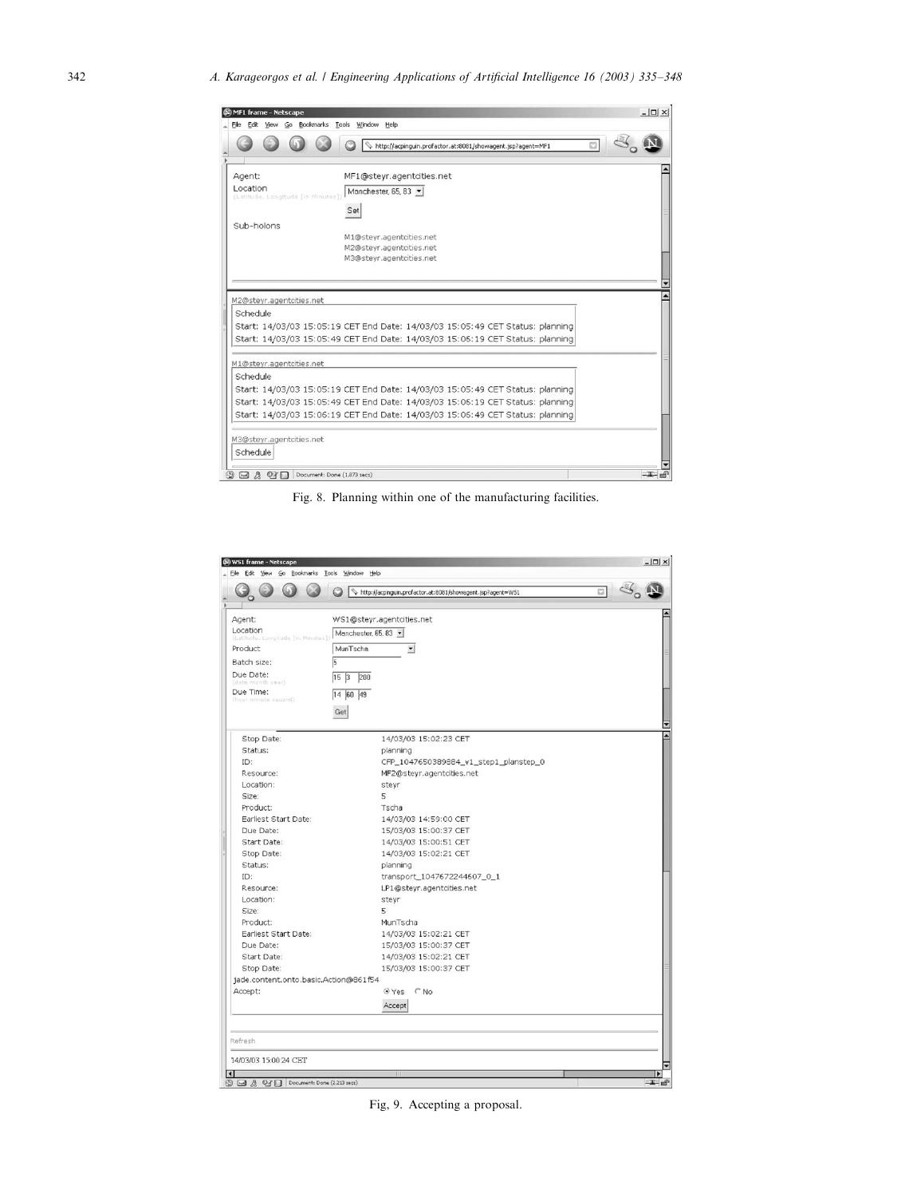<span id="page-7-0"></span>

Fig. 8. Planning within one of the manufacturing facilities.

| Agent:<br>WS1@steyr.agentcities.net<br>Location<br>Manchester, 65, 83 -<br>(Latitude, Longitude [in Minute<br>MunTscha<br>$\overline{\phantom{a}}$<br>Product<br>5<br>Batch size:<br>Due Date:<br>15 3<br>200<br>(date month year)<br>Due Time:<br>14 60 49<br>(hour minute second)<br>Get<br>Stop Date:<br>14/03/03 15:02:23 CET<br>Status:<br>planning<br>CFP_1047650389884_v1_step1_planstep_0<br>ID:<br>Resource:<br>MF2@steyr.agentcities.net<br>Location:<br>steyr<br>5<br>Size:<br>Product:<br>Tscha<br>Earliest Start Date:<br>14/03/03 14:59:00 CET<br>15/03/03 15:00:37 CET<br>Due Date:<br>Start Date:<br>14/03/03 15:00:51 CET<br>14/03/03 15:02:21 CET<br>Stop Date:<br>Status:<br>planning<br>ID:<br>transport_1047672244607_0_1<br>LP1@steyr.agentcities.net<br>Resource:<br>Location:<br>steyr<br>5<br>Size:<br>Product:<br>MunTscha<br>Earliest Start Date:<br>14/03/03 15:02:21 CET<br>15/03/03 15:00:37 CET<br>Due Date:<br>Start Date:<br>14/03/03 15:02:21 CET<br>Stop Date:<br>15/03/03 15:00:37 CET<br>jade.content.onto.basic.Action@861f54<br>Accept:<br>$OYes$ $No$<br>Accept<br>Refresh | http://acpinguin.profactor.at:8081/showagent.jsp?agent=W51 | $\hfill\square$ |
|--------------------------------------------------------------------------------------------------------------------------------------------------------------------------------------------------------------------------------------------------------------------------------------------------------------------------------------------------------------------------------------------------------------------------------------------------------------------------------------------------------------------------------------------------------------------------------------------------------------------------------------------------------------------------------------------------------------------------------------------------------------------------------------------------------------------------------------------------------------------------------------------------------------------------------------------------------------------------------------------------------------------------------------------------------------------------------------------------------------------|------------------------------------------------------------|-----------------|
|                                                                                                                                                                                                                                                                                                                                                                                                                                                                                                                                                                                                                                                                                                                                                                                                                                                                                                                                                                                                                                                                                                                    |                                                            |                 |
|                                                                                                                                                                                                                                                                                                                                                                                                                                                                                                                                                                                                                                                                                                                                                                                                                                                                                                                                                                                                                                                                                                                    |                                                            |                 |
|                                                                                                                                                                                                                                                                                                                                                                                                                                                                                                                                                                                                                                                                                                                                                                                                                                                                                                                                                                                                                                                                                                                    |                                                            |                 |
|                                                                                                                                                                                                                                                                                                                                                                                                                                                                                                                                                                                                                                                                                                                                                                                                                                                                                                                                                                                                                                                                                                                    |                                                            |                 |
|                                                                                                                                                                                                                                                                                                                                                                                                                                                                                                                                                                                                                                                                                                                                                                                                                                                                                                                                                                                                                                                                                                                    |                                                            |                 |
|                                                                                                                                                                                                                                                                                                                                                                                                                                                                                                                                                                                                                                                                                                                                                                                                                                                                                                                                                                                                                                                                                                                    |                                                            |                 |
|                                                                                                                                                                                                                                                                                                                                                                                                                                                                                                                                                                                                                                                                                                                                                                                                                                                                                                                                                                                                                                                                                                                    |                                                            |                 |
|                                                                                                                                                                                                                                                                                                                                                                                                                                                                                                                                                                                                                                                                                                                                                                                                                                                                                                                                                                                                                                                                                                                    |                                                            |                 |
|                                                                                                                                                                                                                                                                                                                                                                                                                                                                                                                                                                                                                                                                                                                                                                                                                                                                                                                                                                                                                                                                                                                    |                                                            |                 |
|                                                                                                                                                                                                                                                                                                                                                                                                                                                                                                                                                                                                                                                                                                                                                                                                                                                                                                                                                                                                                                                                                                                    |                                                            |                 |
|                                                                                                                                                                                                                                                                                                                                                                                                                                                                                                                                                                                                                                                                                                                                                                                                                                                                                                                                                                                                                                                                                                                    |                                                            |                 |
|                                                                                                                                                                                                                                                                                                                                                                                                                                                                                                                                                                                                                                                                                                                                                                                                                                                                                                                                                                                                                                                                                                                    |                                                            |                 |
|                                                                                                                                                                                                                                                                                                                                                                                                                                                                                                                                                                                                                                                                                                                                                                                                                                                                                                                                                                                                                                                                                                                    |                                                            |                 |
|                                                                                                                                                                                                                                                                                                                                                                                                                                                                                                                                                                                                                                                                                                                                                                                                                                                                                                                                                                                                                                                                                                                    |                                                            |                 |
|                                                                                                                                                                                                                                                                                                                                                                                                                                                                                                                                                                                                                                                                                                                                                                                                                                                                                                                                                                                                                                                                                                                    |                                                            |                 |
|                                                                                                                                                                                                                                                                                                                                                                                                                                                                                                                                                                                                                                                                                                                                                                                                                                                                                                                                                                                                                                                                                                                    |                                                            |                 |
|                                                                                                                                                                                                                                                                                                                                                                                                                                                                                                                                                                                                                                                                                                                                                                                                                                                                                                                                                                                                                                                                                                                    |                                                            |                 |
|                                                                                                                                                                                                                                                                                                                                                                                                                                                                                                                                                                                                                                                                                                                                                                                                                                                                                                                                                                                                                                                                                                                    |                                                            |                 |
|                                                                                                                                                                                                                                                                                                                                                                                                                                                                                                                                                                                                                                                                                                                                                                                                                                                                                                                                                                                                                                                                                                                    |                                                            |                 |
|                                                                                                                                                                                                                                                                                                                                                                                                                                                                                                                                                                                                                                                                                                                                                                                                                                                                                                                                                                                                                                                                                                                    |                                                            |                 |
|                                                                                                                                                                                                                                                                                                                                                                                                                                                                                                                                                                                                                                                                                                                                                                                                                                                                                                                                                                                                                                                                                                                    |                                                            |                 |
|                                                                                                                                                                                                                                                                                                                                                                                                                                                                                                                                                                                                                                                                                                                                                                                                                                                                                                                                                                                                                                                                                                                    |                                                            |                 |
|                                                                                                                                                                                                                                                                                                                                                                                                                                                                                                                                                                                                                                                                                                                                                                                                                                                                                                                                                                                                                                                                                                                    |                                                            |                 |
|                                                                                                                                                                                                                                                                                                                                                                                                                                                                                                                                                                                                                                                                                                                                                                                                                                                                                                                                                                                                                                                                                                                    |                                                            |                 |
|                                                                                                                                                                                                                                                                                                                                                                                                                                                                                                                                                                                                                                                                                                                                                                                                                                                                                                                                                                                                                                                                                                                    |                                                            |                 |
|                                                                                                                                                                                                                                                                                                                                                                                                                                                                                                                                                                                                                                                                                                                                                                                                                                                                                                                                                                                                                                                                                                                    |                                                            |                 |
|                                                                                                                                                                                                                                                                                                                                                                                                                                                                                                                                                                                                                                                                                                                                                                                                                                                                                                                                                                                                                                                                                                                    |                                                            |                 |
|                                                                                                                                                                                                                                                                                                                                                                                                                                                                                                                                                                                                                                                                                                                                                                                                                                                                                                                                                                                                                                                                                                                    |                                                            |                 |
|                                                                                                                                                                                                                                                                                                                                                                                                                                                                                                                                                                                                                                                                                                                                                                                                                                                                                                                                                                                                                                                                                                                    |                                                            |                 |
|                                                                                                                                                                                                                                                                                                                                                                                                                                                                                                                                                                                                                                                                                                                                                                                                                                                                                                                                                                                                                                                                                                                    |                                                            |                 |
|                                                                                                                                                                                                                                                                                                                                                                                                                                                                                                                                                                                                                                                                                                                                                                                                                                                                                                                                                                                                                                                                                                                    |                                                            |                 |
|                                                                                                                                                                                                                                                                                                                                                                                                                                                                                                                                                                                                                                                                                                                                                                                                                                                                                                                                                                                                                                                                                                                    |                                                            |                 |
|                                                                                                                                                                                                                                                                                                                                                                                                                                                                                                                                                                                                                                                                                                                                                                                                                                                                                                                                                                                                                                                                                                                    |                                                            |                 |
|                                                                                                                                                                                                                                                                                                                                                                                                                                                                                                                                                                                                                                                                                                                                                                                                                                                                                                                                                                                                                                                                                                                    |                                                            |                 |
|                                                                                                                                                                                                                                                                                                                                                                                                                                                                                                                                                                                                                                                                                                                                                                                                                                                                                                                                                                                                                                                                                                                    |                                                            |                 |
|                                                                                                                                                                                                                                                                                                                                                                                                                                                                                                                                                                                                                                                                                                                                                                                                                                                                                                                                                                                                                                                                                                                    |                                                            |                 |

Fig, 9. Accepting a proposal.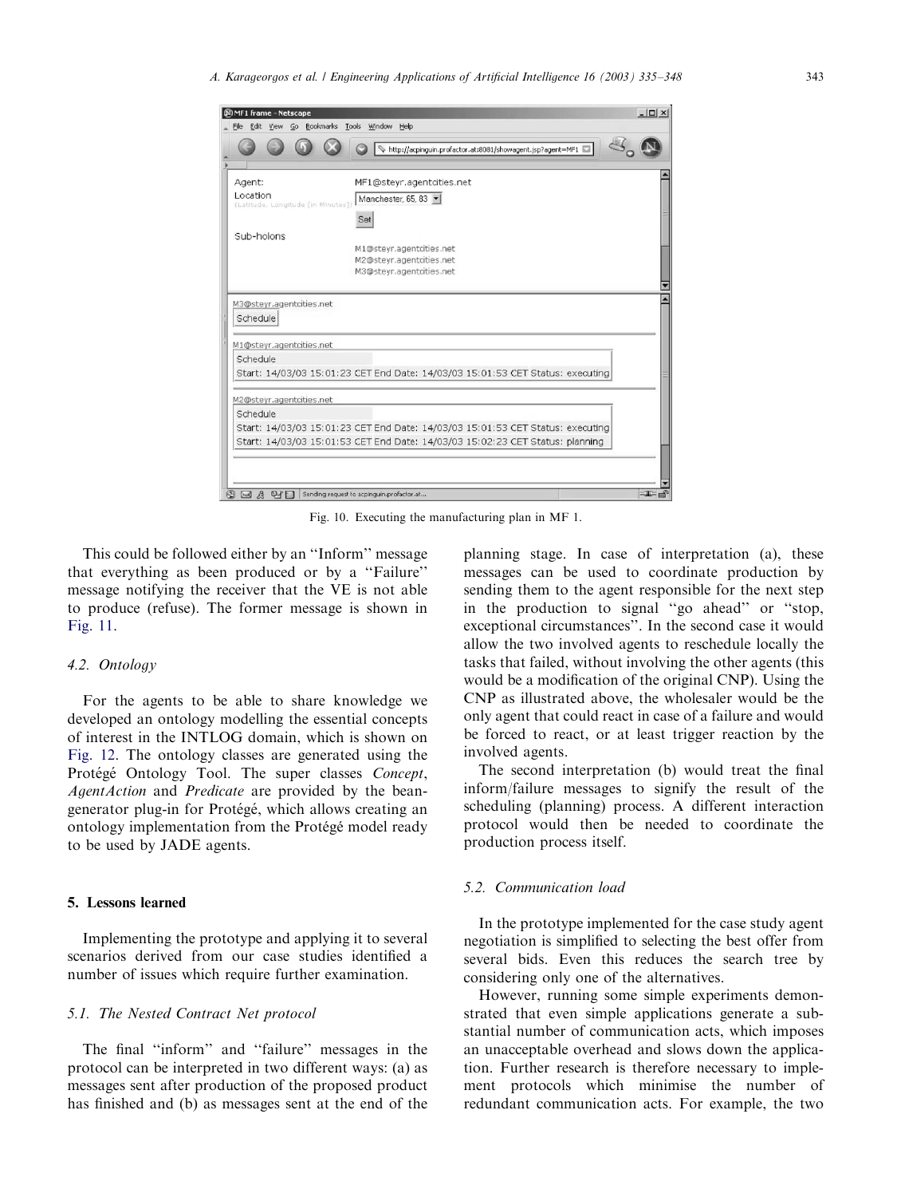<span id="page-8-0"></span>

| MF1 frame - Netscape<br>View Go Bookmarks Tools Window Help<br>Edit |                                                                                | $ \Box$ $\times$ |
|---------------------------------------------------------------------|--------------------------------------------------------------------------------|------------------|
|                                                                     | http://acpinguin.profactor.at:8081/showagent.jsp?agent=MF1                     |                  |
| Agent:                                                              | MF1@steyr.agentcities.net                                                      |                  |
| Location<br>(Latitude, Longitude [in Minutes])                      | Manchester, 65, 83 $\blacktriangledown$                                        |                  |
|                                                                     | Set                                                                            |                  |
| Sub-holons                                                          |                                                                                |                  |
|                                                                     | M1@steyr.agentcities.net                                                       |                  |
|                                                                     | M2@steyr.agentcities.net                                                       |                  |
|                                                                     | M3@steyr.agentcities.net                                                       |                  |
| Schedule<br>M1@steyr.agentcities.net                                |                                                                                |                  |
| Schedule                                                            |                                                                                |                  |
|                                                                     | Start: 14/03/03 15:01:23 CET End Date: 14/03/03 15:01:53 CET Status: executing |                  |
| M2@steyr.agentcities.net                                            |                                                                                |                  |
| Schedule                                                            |                                                                                |                  |
|                                                                     | Start: 14/03/03 15:01:23 CET End Date: 14/03/03 15:01:53 CET Status: executing |                  |
|                                                                     | Start: 14/03/03 15:01:53 CET End Date: 14/03/03 15:02:23 CET Status: planning  |                  |
|                                                                     |                                                                                |                  |
|                                                                     | Sending request to acpinguin.profactor.at                                      | $=$              |

Fig. 10. Executing the manufacturing plan in MF 1.

This could be followed either by an ''Inform'' message that everything as been produced or by a ''Failure'' message notifying the receiver that the VE is not able to produce (refuse). The former message is shown in [Fig. 11](#page-9-0).

## 4.2. Ontology

For the agents to be able to share knowledge we developed an ontology modelling the essential concepts of interest in the INTLOG domain, which is shown on [Fig. 12](#page-10-0). The ontology classes are generated using the Protégé Ontology Tool. The super classes Concept, AgentAction and Predicate are provided by the beangenerator plug-in for Protégé, which allows creating an ontology implementation from the Protégé model ready to be used by JADE agents.

#### 5. Lessons learned

Implementing the prototype and applying it to several scenarios derived from our case studies identified a number of issues which require further examination.

## 5.1. The Nested Contract Net protocol

The final ''inform'' and ''failure'' messages in the protocol can be interpreted in two different ways: (a) as messages sent after production of the proposed product has finished and (b) as messages sent at the end of the planning stage. In case of interpretation (a), these messages can be used to coordinate production by sending them to the agent responsible for the next step in the production to signal ''go ahead'' or ''stop, exceptional circumstances''. In the second case it would allow the two involved agents to reschedule locally the tasks that failed, without involving the other agents (this would be a modification of the original CNP). Using the CNP as illustrated above, the wholesaler would be the only agent that could react in case of a failure and would be forced to react, or at least trigger reaction by the involved agents.

The second interpretation (b) would treat the final inform/failure messages to signify the result of the scheduling (planning) process. A different interaction protocol would then be needed to coordinate the production process itself.

# 5.2. Communication load

In the prototype implemented for the case study agent negotiation is simplified to selecting the best offer from several bids. Even this reduces the search tree by considering only one of the alternatives.

However, running some simple experiments demonstrated that even simple applications generate a substantial number of communication acts, which imposes an unacceptable overhead and slows down the application. Further research is therefore necessary to implement protocols which minimise the number of redundant communication acts. For example, the two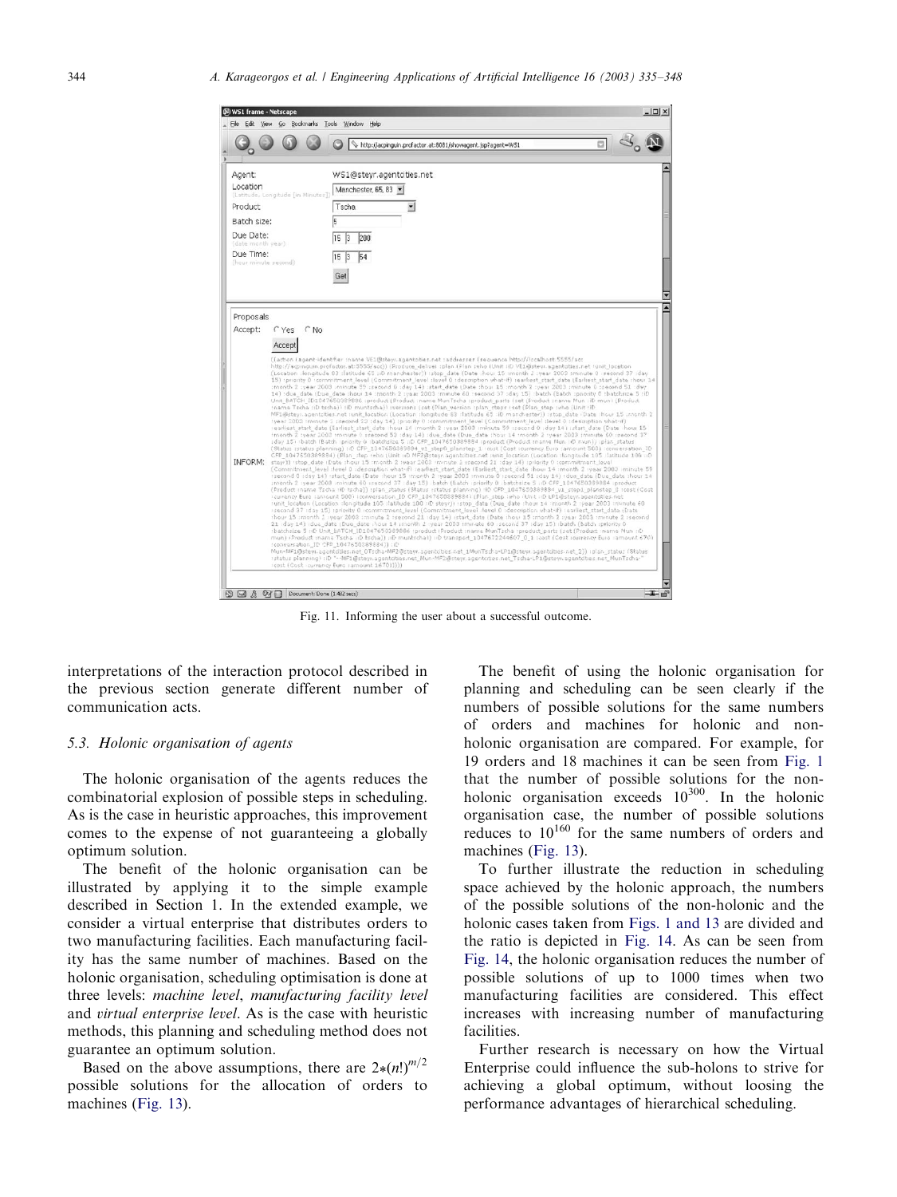<span id="page-9-0"></span>

Fig. 11. Informing the user about a successful outcome.

interpretations of the interaction protocol described in the previous section generate different number of communication acts.

## 5.3. Holonic organisation of agents

The holonic organisation of the agents reduces the combinatorial explosion of possible steps in scheduling. As is the case in heuristic approaches, this improvement comes to the expense of not guaranteeing a globally optimum solution.

The benefit of the holonic organisation can be illustrated by applying it to the simple example described in Section 1. In the extended example, we consider a virtual enterprise that distributes orders to two manufacturing facilities. Each manufacturing facility has the same number of machines. Based on the holonic organisation, scheduling optimisation is done at three levels: machine level, manufacturing facility level and virtual enterprise level. As is the case with heuristic methods, this planning and scheduling method does not guarantee an optimum solution.

Based on the above assumptions, there are  $2*(n!)^{m/2}$ possible solutions for the allocation of orders to machines ([Fig. 13](#page-10-0)).

The benefit of using the holonic organisation for planning and scheduling can be seen clearly if the numbers of possible solutions for the same numbers of orders and machines for holonic and nonholonic organisation are compared. For example, for 19 orders and 18 machines it can be seen from [Fig. 1](#page-1-0) that the number of possible solutions for the nonholonic organisation exceeds  $10^{300}$ . In the holonic organisation case, the number of possible solutions reduces to  $10^{160}$  for the same numbers of orders and machines [\(Fig. 13](#page-10-0)).

To further illustrate the reduction in scheduling space achieved by the holonic approach, the numbers of the possible solutions of the non-holonic and the holonic cases taken from [Figs. 1 and 13](#page-1-0) are divided and the ratio is depicted in [Fig. 14](#page-10-0). As can be seen from [Fig. 14,](#page-10-0) the holonic organisation reduces the number of possible solutions of up to 1000 times when two manufacturing facilities are considered. This effect increases with increasing number of manufacturing facilities.

Further research is necessary on how the Virtual Enterprise could influence the sub-holons to strive for achieving a global optimum, without loosing the performance advantages of hierarchical scheduling.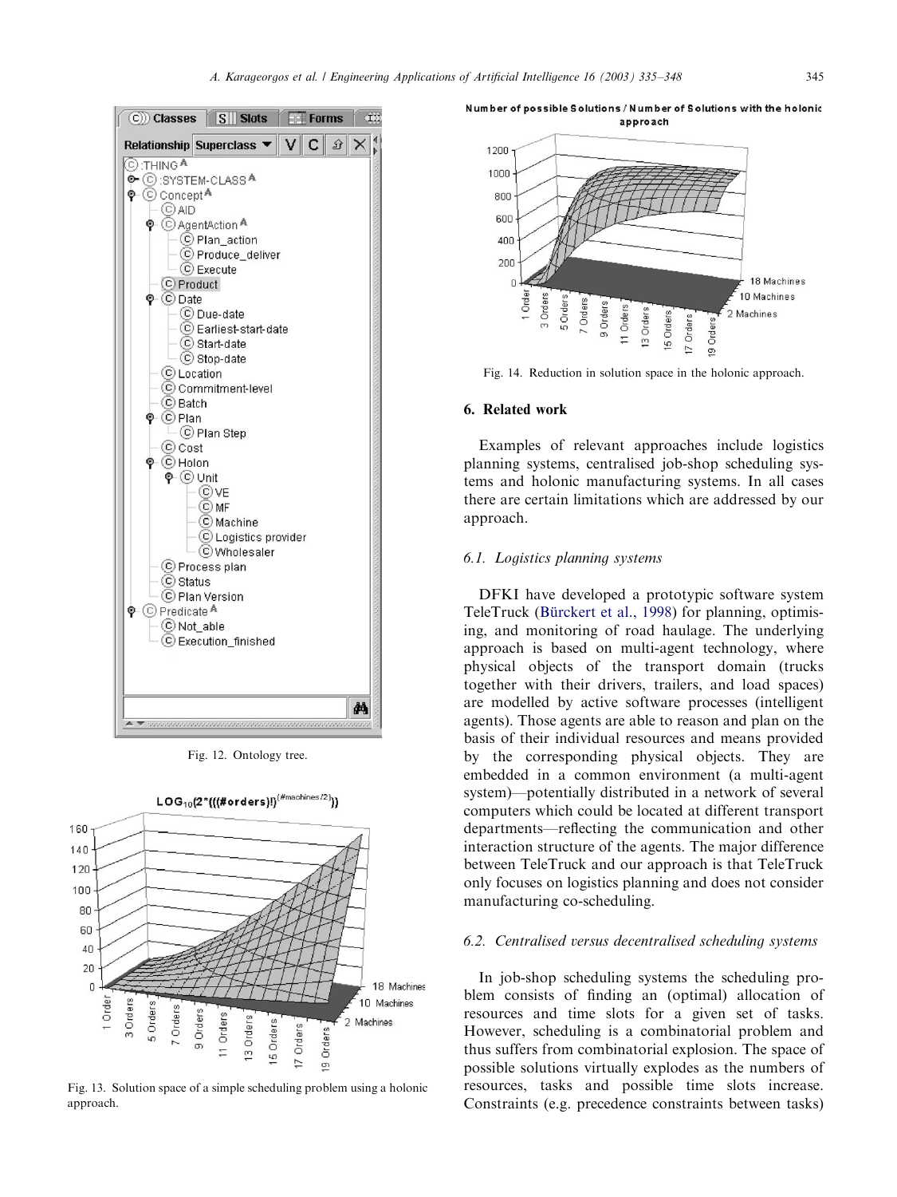<span id="page-10-0"></span>

Fig. 12. Ontology tree.



Fig. 13. Solution space of a simple scheduling problem using a holonic approach.

Number of possible Solutions / Number of Solutions with the holonic approach



Fig. 14. Reduction in solution space in the holonic approach.

#### 6. Related work

Examples of relevant approaches include logistics planning systems, centralised job-shop scheduling systems and holonic manufacturing systems. In all cases there are certain limitations which are addressed by our approach.

## 6.1. Logistics planning systems

DFKI have developed a prototypic software system TeleTruck (Bürckert et al., 1998) for planning, optimising, and monitoring of road haulage. The underlying approach is based on multi-agent technology, where physical objects of the transport domain (trucks together with their drivers, trailers, and load spaces) are modelled by active software processes (intelligent agents). Those agents are able to reason and plan on the basis of their individual resources and means provided by the corresponding physical objects. They are embedded in a common environment (a multi-agent system)—potentially distributed in a network of several computers which could be located at different transport departments—reflecting the communication and other interaction structure of the agents. The major difference between TeleTruck and our approach is that TeleTruck only focuses on logistics planning and does not consider manufacturing co-scheduling.

#### 6.2. Centralised versus decentralised scheduling systems

In job-shop scheduling systems the scheduling problem consists of finding an (optimal) allocation of resources and time slots for a given set of tasks. However, scheduling is a combinatorial problem and thus suffers from combinatorial explosion. The space of possible solutions virtually explodes as the numbers of resources, tasks and possible time slots increase. Constraints (e.g. precedence constraints between tasks)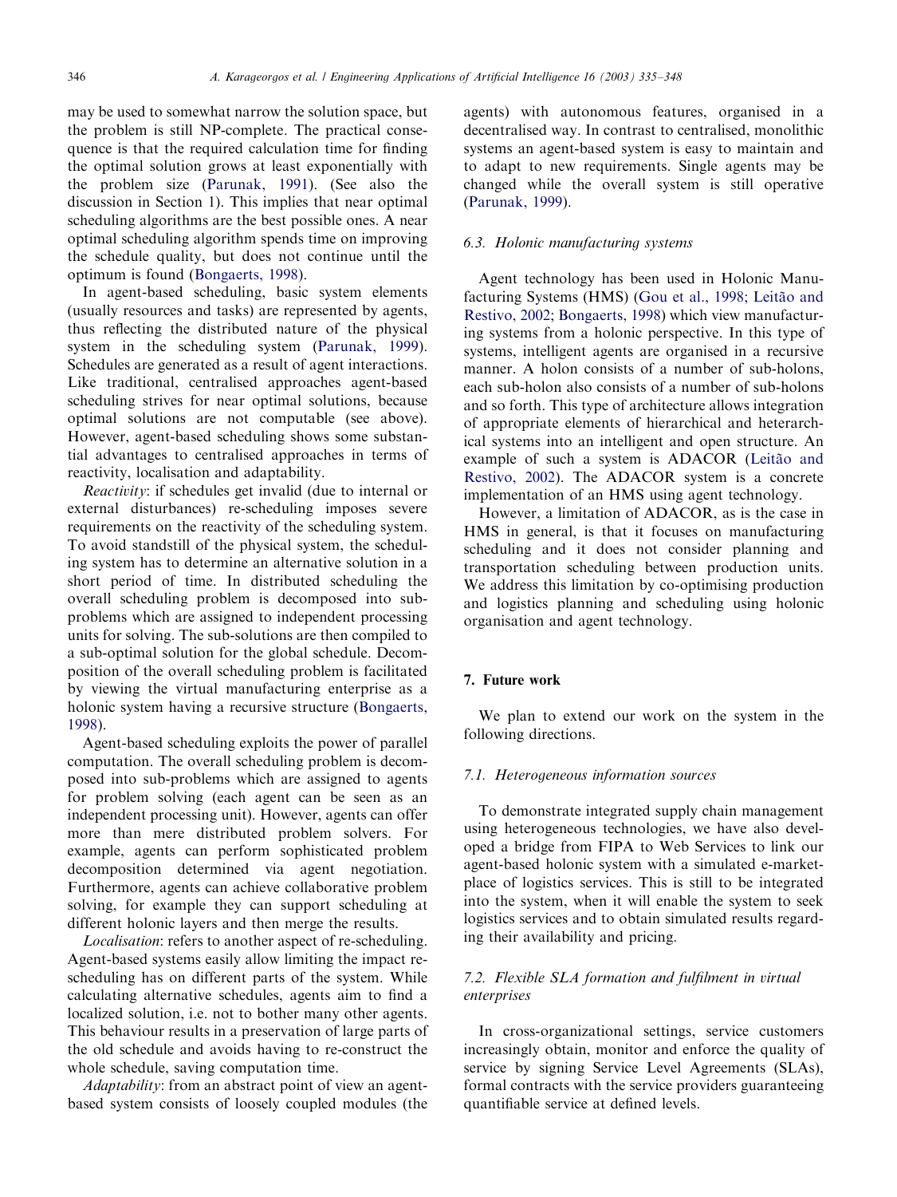may be used to somewhat narrow the solution space, but the problem is still NP-complete. The practical consequence is that the required calculation time for finding the optimal solution grows at least exponentially with the problemsize [\(Parunak, 1991\)](#page-13-0). (See also the discussion in Section 1). This implies that near optimal scheduling algorithms are the best possible ones. A near optimal scheduling algorithm spends time on improving the schedule quality, but does not continue until the optimum is found [\(Bongaerts, 1998](#page-12-0)).

In agent-based scheduling, basic system elements (usually resources and tasks) are represented by agents, thus reflecting the distributed nature of the physical system in the scheduling system ([Parunak, 1999\)](#page-13-0). Schedules are generated as a result of agent interactions. Like traditional, centralised approaches agent-based scheduling strives for near optimal solutions, because optimal solutions are not computable (see above). However, agent-based scheduling shows some substantial advantages to centralised approaches in terms of reactivity, localisation and adaptability.

Reactivity: if schedules get invalid (due to internal or external disturbances) re-scheduling imposes severe requirements on the reactivity of the scheduling system. To avoid standstill of the physical system, the scheduling systemhas to determine an alternative solution in a short period of time. In distributed scheduling the overall scheduling problem is decomposed into subproblems which are assigned to independent processing units for solving. The sub-solutions are then compiled to a sub-optimal solution for the global schedule. Decomposition of the overall scheduling problem is facilitated by viewing the virtual manufacturing enterprise as a holonic system having a recursive structure [\(Bongaerts,](#page-12-0) [1998\)](#page-12-0).

Agent-based scheduling exploits the power of parallel computation. The overall scheduling problem is decomposed into sub-problems which are assigned to agents for problem solving (each agent can be seen as an independent processing unit). However, agents can offer more than mere distributed problem solvers. For example, agents can perform sophisticated problem decomposition determined via agent negotiation. Furthermore, agents can achieve collaborative problem solving, for example they can support scheduling at different holonic layers and then merge the results.

Localisation: refers to another aspect of re-scheduling. Agent-based systems easily allow limiting the impact rescheduling has on different parts of the system. While calculating alternative schedules, agents aimto find a localized solution, i.e. not to bother many other agents. This behaviour results in a preservation of large parts of the old schedule and avoids having to re-construct the whole schedule, saving computation time.

Adaptability: from an abstract point of view an agentbased system consists of loosely coupled modules (the agents) with autonomous features, organised in a decentralised way. In contrast to centralised, monolithic systems an agent-based system is easy to maintain and to adapt to new requirements. Single agents may be changed while the overall system is still operative [\(Parunak, 1999\)](#page-13-0).

#### 6.3. Holonic manufacturing systems

Agent technology has been used in Holonic Manu-facturing Systems (HMS) [\(Gou et al., 1998](#page-12-0); Leitão and [Restivo, 2002](#page-12-0); [Bongaerts, 1998\)](#page-12-0) which view manufacturing systems from a holonic perspective. In this type of systems, intelligent agents are organised in a recursive manner. A holon consists of a number of sub-holons, each sub-holon also consists of a number of sub-holons and so forth. This type of architecture allows integration of appropriate elements of hierarchical and heterarchical systems into an intelligent and open structure. An example of such a system is ADACOR (Leitão and [Restivo, 2002\)](#page-12-0). The ADACOR system is a concrete implementation of an HMS using agent technology.

However, a limitation of ADACOR, as is the case in HMS in general, is that it focuses on manufacturing scheduling and it does not consider planning and transportation scheduling between production units. We address this limitation by co-optimising production and logistics planning and scheduling using holonic organisation and agent technology.

## 7. Future work

We plan to extend our work on the system in the following directions.

## 7.1. Heterogeneous information sources

To demonstrate integrated supply chain management using heterogeneous technologies, we have also developed a bridge from FIPA to Web Services to link our agent-based holonic systemwith a simulated e-marketplace of logistics services. This is still to be integrated into the system, when it will enable the system to seek logistics services and to obtain simulated results regarding their availability and pricing.

# 7.2. Flexible SLA formation and fulfilment in virtual enterprises

In cross-organizational settings, service customers increasingly obtain, monitor and enforce the quality of service by signing Service Level Agreements (SLAs), formal contracts with the service providers guaranteeing quantifiable service at defined levels.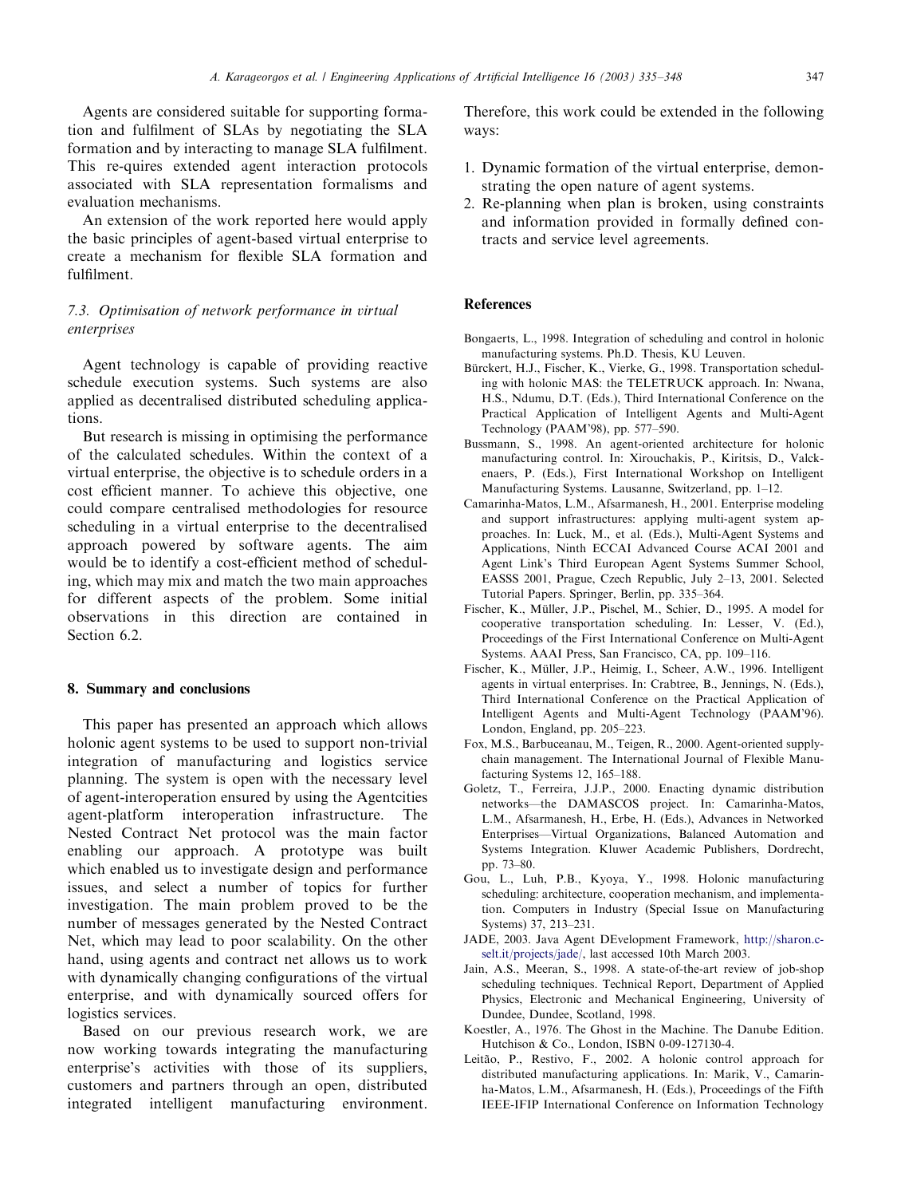<span id="page-12-0"></span>Agents are considered suitable for supporting formation and fulfilment of SLAs by negotiating the SLA formation and by interacting to manage SLA fulfilment. This re-quires extended agent interaction protocols associated with SLA representation formalisms and evaluation mechanisms.

An extension of the work reported here would apply the basic principles of agent-based virtual enterprise to create a mechanism for flexible SLA formation and fulfilment.

# 7.3. Optimisation of network performance in virtual enterprises

Agent technology is capable of providing reactive schedule execution systems. Such systems are also applied as decentralised distributed scheduling applications.

But research is missing in optimising the performance of the calculated schedules. Within the context of a virtual enterprise, the objective is to schedule orders in a cost efficient manner. To achieve this objective, one could compare centralised methodologies for resource scheduling in a virtual enterprise to the decentralised approach powered by software agents. The aim would be to identify a cost-efficient method of scheduling, which may mix and match the two main approaches for different aspects of the problem. Some initial observations in this direction are contained in Section 6.2.

### 8. Summary and conclusions

This paper has presented an approach which allows holonic agent systems to be used to support non-trivial integration of manufacturing and logistics service planning. The system is open with the necessary level of agent-interoperation ensured by using the Agentcities agent-platform interoperation infrastructure. The Nested Contract Net protocol was the main factor enabling our approach. A prototype was built which enabled us to investigate design and performance issues, and select a number of topics for further investigation. The main problem proved to be the number of messages generated by the Nested Contract Net, which may lead to poor scalability. On the other hand, using agents and contract net allows us to work with dynamically changing configurations of the virtual enterprise, and with dynamically sourced offers for logistics services.

Based on our previous research work, we are now working towards integrating the manufacturing enterprise's activities with those of its suppliers, customers and partners through an open, distributed integrated intelligent manufacturing environment.

Therefore, this work could be extended in the following ways:

- 1. Dynamic formation of the virtual enterprise, demonstrating the open nature of agent systems.
- 2. Re-planning when plan is broken, using constraints and information provided in formally defined contracts and service level agreements.

## **References**

- Bongaerts, L., 1998. Integration of scheduling and control in holonic manufacturing systems. Ph.D. Thesis, KU Leuven.
- Bürckert, H.J., Fischer, K., Vierke, G., 1998. Transportation scheduling with holonic MAS: the TELETRUCK approach. In: Nwana, H.S., Ndumu, D.T. (Eds.), Third International Conference on the Practical Application of Intelligent Agents and Multi-Agent Technology (PAAM'98), pp. 577–590.
- Bussmann, S., 1998. An agent-oriented architecture for holonic manufacturing control. In: Xirouchakis, P., Kiritsis, D., Valckenaers, P. (Eds.), First International Workshop on Intelligent Manufacturing Systems. Lausanne, Switzerland, pp. 1–12.
- Camarinha-Matos, L.M., Afsarmanesh, H., 2001. Enterprise modeling and support infrastructures: applying multi-agent system approaches. In: Luck, M., et al. (Eds.), Multi-Agent Systems and Applications, Ninth ECCAI Advanced Course ACAI 2001 and Agent Link's Third European Agent Systems Summer School, EASSS 2001, Prague, Czech Republic, July 2–13, 2001. Selected Tutorial Papers. Springer, Berlin, pp. 335–364.
- Fischer, K., Müller, J.P., Pischel, M., Schier, D., 1995. A model for cooperative transportation scheduling. In: Lesser, V. (Ed.), Proceedings of the First International Conference on Multi-Agent Systems. AAAI Press, San Francisco, CA, pp. 109–116.
- Fischer, K., Müller, J.P., Heimig, I., Scheer, A.W., 1996. Intelligent agents in virtual enterprises. In: Crabtree, B., Jennings, N. (Eds.), Third International Conference on the Practical Application of Intelligent Agents and Multi-Agent Technology (PAAM'96). London, England, pp. 205–223.
- Fox, M.S., Barbuceanau, M., Teigen, R., 2000. Agent-oriented supplychain management. The International Journal of Flexible Manufacturing Systems 12, 165–188.
- Goletz, T., Ferreira, J.J.P., 2000. Enacting dynamic distribution networks—the DAMASCOS project. In: Camarinha-Matos, L.M., Afsarmanesh, H., Erbe, H. (Eds.), Advances in Networked Enterprises—Virtual Organizations, Balanced Automation and Systems Integration. Kluwer Academic Publishers, Dordrecht, pp. 73–80.
- Gou, L., Luh, P.B., Kyoya, Y., 1998. Holonic manufacturing scheduling: architecture, cooperation mechanism, and implementation. Computers in Industry (Special Issue on Manufacturing Systems) 37, 213–231.
- JADE, 2003. Java Agent DEvelopment Framework, [http://sharon.c](http://sharon.cselt.it/projects/jade/)[selt.it/projects/jade/,](http://sharon.cselt.it/projects/jade/) last accessed 10th March 2003.
- Jain, A.S., Meeran, S., 1998. A state-of-the-art review of job-shop scheduling techniques. Technical Report, Department of Applied Physics, Electronic and Mechanical Engineering, University of Dundee, Dundee, Scotland, 1998.
- Koestler, A., 1976. The Ghost in the Machine. The Danube Edition. Hutchison & Co., London, ISBN 0-09-127130-4.
- Leitão, P., Restivo, F., 2002. A holonic control approach for distributed manufacturing applications. In: Marik, V., Camarinha-Matos, L.M., Afsarmanesh, H. (Eds.), Proceedings of the Fifth IEEE-IFIP International Conference on Information Technology